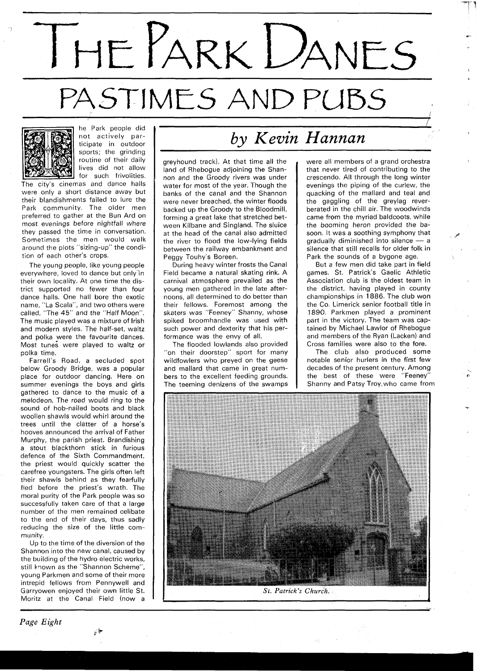## THE PARK DANES PASTIMES AND PUBS



he Park people did not actively participate in outdoor sports; the grinding routine of their daily lives did not allow for such frivolities.

The city's cinemas and dance halls were only a short distance away but their blandishments failed to lure the Park community. The older men preferred to gather at the Bun Ard on most evenings before nightfall where they passed the time in conversation. Sometimes the men would walk around the plots "sizing-up" the condition of each other's crops.

The young people, like young people everywhere, loved to dance but only in their own locality. At one time the district supported no fewer than four dance halls. One hall bore the exotic name, "La Scala", and two others were called, "The 45" and the "Half Moon". The music played was a mixture of Irish and modern styles. The half-set, waltz and polka were the favourite dances. Most tunes were played to waltz or polka time.

Farrell's Road, a secluded spot below Groody Bridge, was a popular place for outdoor dancing. Here on summer evenings the boys and girls gathered to dance to the music of a melodeon. The road would ring to the sound of hob-nailed boots and black woollen shawls would whirl around the trees until the clatter of a horse's hooves announced the arrival of Father Murphy, the parish priest. Brandishing a stout blackthorn stick in furious defence of the Sixth Commandment, the priest would quickly scatter the carefree youngsters. The girls often left their shawls behind as they fearfully fled before the priest's wrath. The moral purity of the Park people was so successfully taken care of that a large number of the men remained celibate to the end of their days, thus sadly reducing the size of the little community.

Up to the time of the diversion of the Shannon into the new canal, caused by the building of the hydro electric works, still known as the "Shannon Scheme", young Parkmen and some of their more intrepid fellows from Pennywell and Garryowen enjoyed their own little St. Moritz at the Canal Field (now a

.<br>. المعيان

## *by Kevin Hannan*

greyhound track). At that time all the land of Rhebogue adjoining the Shannon and the Groody rivers was under water for most of the year. Though the banks of the canal and the Shannon were never breached, the winter floods backed up the Groody to the Bloodmill, forming a great lake that stretched between Kilbane and Singland. The sluice at the head of the canal also admitted the river to flood the low-lying fields between the railway embankment and Peggy Touhy's Boreen.

During heavy winter frosts the Canal Field became a natural skating rink. A carnival atmosphere prevailed as the young men gathered in the late afternoons, all determined to do better than their fellows. Foremost among the skaters was "Feeney" Shanny, whose spiked broomhandle was used with such power and dexterity that his performance was the envy of all.

The flooded lowlands also provided "on their doorstep" sport for many wildfowlers who preyed on the geese and mallard that came in great numbers to the excellent feeding grounds. The teeming denizens of the swamps were all members of a grand orchestra that never tired of contributing to the crescendo. All through the long winter evenings the piping of the curlew, the quacking of the mallard and teal and the gaggling of the greylag reverberated in the chill air. The woodwinds came from the myriad baldcoots, while the booming heron provided the basoon. It was a soothing symphony that **P**  the booming heron provided the bassoon. It was a soothing symphony that<br>gradually diminished into silence - a<br>silence that still recalls for older folk in silence that still recalls for older folk in Park the sounds of a bygone age.

But a few men did take part in field games. St. Patrick's Gaelic Athletic Association club is the oldest team in the district, having played in county championships in 1886. The club won the Co. Limerick senior football title in 1890. Parkmen played a prominent part in the victory. The team was captained by Michael Lawlor of Rhebogue and members of the Ryan (Lacken) and Cross families were also to the fore.

The club also produced some notable senior hurlers in the first few decades of the present century. Among the best of these were "Feeney" Shanny and Patsy Troy,who came from